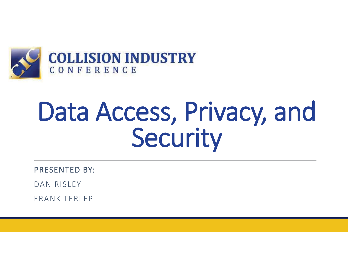

# Data Access, Privacy, and Security

PRESENTED BY:

DAN RISLEY

FRANK TERLEP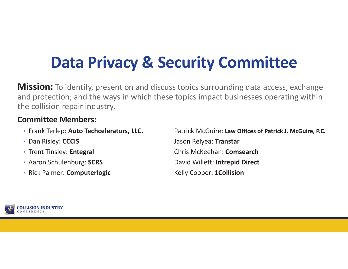# **Data Privacy & Security Committee**

**Mission:** To identify, present on and discuss topics surrounding data access, exchange and protection; and the ways in which these topics impact businesses operating within the collision repair industry.

#### **Committee Members:**

- Frank Terlep: Auto Techcelerators, LLC.
- Dan Risley: CCCIS
- Trent Tinsley: Entegral
- Aaron Schulenburg: SCRS
- Rick Palmer: **Computerlogic** Kelly Cooper: 1Collision

**Patrick McGuire: Law Offices of Patrick J. McGuire, P.C.** Jason Relyea: Transtar Trent Tinsley: **Entegral** Chris McKeehan: **Comsearch David Willett: Intrepid Direct** 

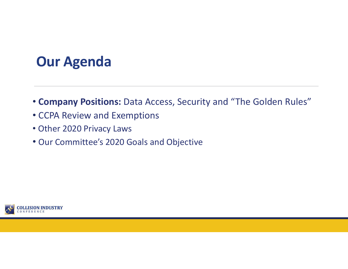#### **Our Agenda**

- **Company Positions:** Data Access, Security and "The Golden Rules"
- CCPA Review and Exemptions
- Other 2020 Privacy Laws
- Our Committee's 2020 Goals and Objective

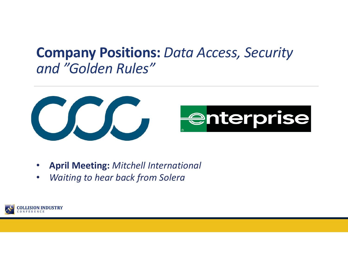#### **Company Positions:** *Data Access, Security and "Golden Rules"*





- •**April Meeting:** *Mitchell International*
- •*Waiting to hear back from Solera*

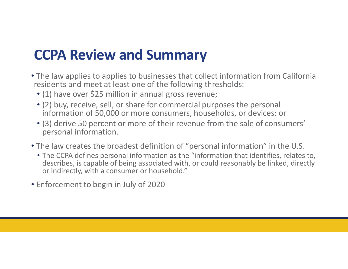#### **CCPA Review and Summary**

- The law applies to applies to businesses that collect information from California residents and meet at least one of the following thresholds:
	- (1) have over \$25 million in annual gross revenue;
	- (2) buy, receive, sell, or share for commercial purposes the personal information of 50,000 or more consumers, households, or devices; or
	- (3) derive 50 percent or more of their revenue from the sale of consumers' personal information.
- The law creates the broadest definition of "personal information" in the U.S.
	- The CCPA defines personal information as the "information that identifies, relates to, describes, is capable of being associated with, or could reasonably be linked, directly or indirectly, with a consumer or household."
- Enforcement to begin in July of 2020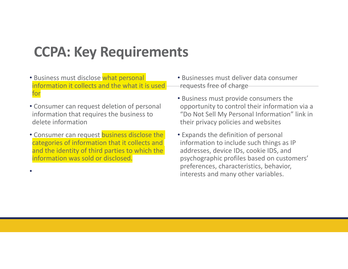#### **CCPA: Key Requirements**

- Business must disclose what personal information it collects and the what it is used for
- Consumer can request deletion of personal information that requires the business to delete information
- Consumer can request business disclose the categories of information that it collects and and the identity of third parties to which the information was sold or disclosed.

•

- Businesses must deliver data consumer requests free of charge
- Business must provide consumers the opportunity to control their information via a "Do Not Sell My Personal Information" link in their privacy policies and websites
- Expands the definition of personal information to include such things as IP addresses, device IDs, cookie IDS, and psychographic profiles based on customers' preferences, characteristics, behavior, interests and many other variables.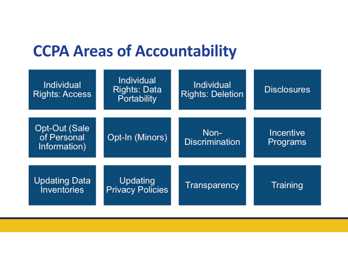### **CCPA Areas of Accountability**

| <b>Individual</b><br><b>Rights: Access</b>   | <b>Individual</b><br><b>Rights: Data</b><br><b>Portability</b> | Individual<br><b>Rights: Deletion</b> | <b>Disclosures</b>    |
|----------------------------------------------|----------------------------------------------------------------|---------------------------------------|-----------------------|
| Opt-Out (Sale<br>of Personal<br>Information) | Opt-In (Minors)                                                | Non-<br><b>Discrimination</b>         | Incentive<br>Programs |
| <b>Updating Data</b><br><b>Inventories</b>   | Updating<br><b>Privacy Policies</b>                            | <b>Transparency</b>                   | Training              |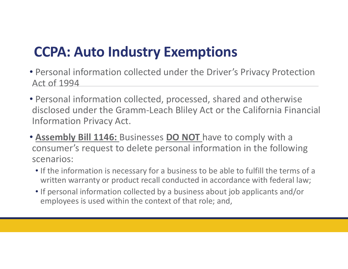### **CCPA: Auto Industry Exemptions**

- Personal information collected under the Driver's Privacy Protection Act of 1994
- Personal information collected, processed, shared and otherwise disclosed under the Gramm-Leach Bliley Act or the California Financial Information Privacy Act.
- **Assembly Bill 1146:** Businesses **DO NOT** have to comply with a consumer's request to delete personal information in the following scenarios:
	- If the information is necessary for a business to be able to fulfill the terms of a written warranty or product recall conducted in accordance with federal law;
	- If personal information collected by a business about job applicants and/or employees is used within the context of that role; and,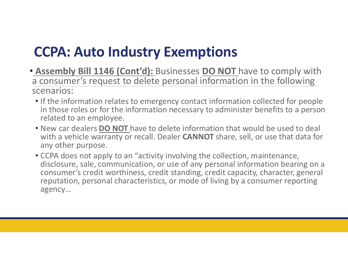### **CCPA: Auto Industry Exemptions**

- **Assembly Bill 1146 (Cont'd):** Businesses **DO NOT** have to comply with a consumer's request to delete personal information in the following scenarios:
	- If the information relates to emergency contact information collected for people in those roles or for the information necessary to administer benefits to a person related to an employee.
	- New car dealers **DO NOT** have to delete information that would be used to deal with a vehicle warranty or recall. Dealer **CANNOT** share, sell, or use that data for any other purpose.
	- CCPA does not apply to an "activity involving the collection, maintenance, disclosure, sale, communication, or use of any personal information bearing on a consumer's credit worthiness, credit standing, credit capacity, character, general reputation, personal characteristics, or mode of living by a consumer reporting agency…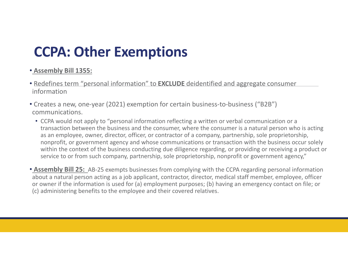### **CCPA: Other Exemptions**

#### • **Assembly Bill 1355:**

- Redefines term "personal information" to **EXCLUDE** deidentified and aggregate consumer information
- Creates a new, one-year (2021) exemption for certain business-to-business ("B2B") communications.
	- CCPA would not apply to "personal information reflecting a written or verbal communication or a transaction between the business and the consumer, where the consumer is a natural person who is acting as an employee, owner, director, officer, or contractor of a company, partnership, sole proprietorship, nonprofit, or government agency and whose communications or transaction with the business occur solely within the context of the business conducting due diligence regarding, or providing or receiving a product or service to or from such company, partnership, sole proprietorship, nonprofit or government agency,"

• **Assembly Bill 25:** AB-25 exempts businesses from complying with the CCPA regarding personal information about a natural person acting as a job applicant, contractor, director, medical staff member, employee, officer or owner if the information is used for (a) employment purposes; (b) having an emergency contact on file; or (c) administering benefits to the employee and their covered relatives.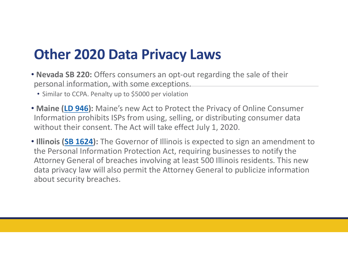#### **Other 2020 Data Privacy Laws**

- **Nevada SB 220:** Offers consumers an opt-out regarding the sale of their personal information, with some exceptions.
	- Similar to CCPA. Penalty up to \$5000 per violation
- **Maine (LD 946):** Maine's new Act to Protect the Privacy of Online Consumer Information prohibits ISPs from using, selling, or distributing consumer data without their consent. The Act will take effect July 1, 2020.
- **Illinois (SB 1624):** The Governor of Illinois is expected to sign an amendment to the Personal Information Protection Act, requiring businesses to notify the Attorney General of breaches involving at least 500 Illinois residents. This new data privacy law will also permit the Attorney General to publicize information about security breaches.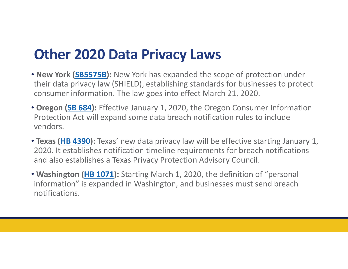#### **Other 2020 Data Privacy Laws**

- **New York (SB5575B):** New York has expanded the scope of protection under their data privacy law (SHIELD), establishing standards for businesses to protect consumer information. The law goes into effect March 21, 2020.
- **Oregon (SB 684):** Effective January 1, 2020, the Oregon Consumer Information Protection Act will expand some data breach notification rules to include vendors.
- **Texas (HB 4390):** Texas' new data privacy law will be effective starting January 1, 2020. It establishes notification timeline requirements for breach notifications and also establishes a Texas Privacy Protection Advisory Council.
- **Washington (HB 1071):** Starting March 1, 2020, the definition of "personal information" is expanded in Washington, and businesses must send breach notifications.